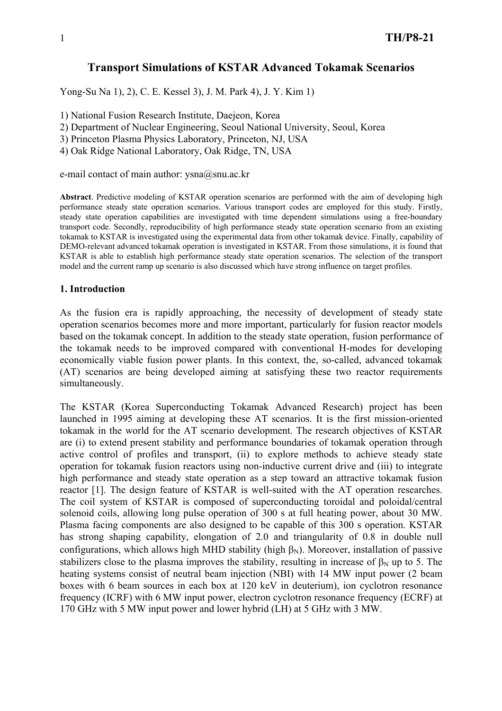## **Transport Simulations of KSTAR Advanced Tokamak Scenarios**

Yong-Su Na 1), 2), C. E. Kessel 3), J. M. Park 4), J. Y. Kim 1)

1) National Fusion Research Institute, Daejeon, Korea

2) Department of Nuclear Engineering, Seoul National University, Seoul, Korea

3) Princeton Plasma Physics Laboratory, Princeton, NJ, USA

4) Oak Ridge National Laboratory, Oak Ridge, TN, USA

e-mail contact of main author: ysna@snu.ac.kr

**Abstract**. Predictive modeling of KSTAR operation scenarios are performed with the aim of developing high performance steady state operation scenarios. Various transport codes are employed for this study. Firstly, steady state operation capabilities are investigated with time dependent simulations using a free-boundary transport code. Secondly, reproducibility of high performance steady state operation scenario from an existing tokamak to KSTAR is investigated using the experimental data from other tokamak device. Finally, capability of DEMO-relevant advanced tokamak operation is investigated in KSTAR. From those simulations, it is found that KSTAR is able to establish high performance steady state operation scenarios. The selection of the transport model and the current ramp up scenario is also discussed which have strong influence on target profiles.

#### **1. Introduction**

As the fusion era is rapidly approaching, the necessity of development of steady state operation scenarios becomes more and more important, particularly for fusion reactor models based on the tokamak concept. In addition to the steady state operation, fusion performance of the tokamak needs to be improved compared with conventional H-modes for developing economically viable fusion power plants. In this context, the, so-called, advanced tokamak (AT) scenarios are being developed aiming at satisfying these two reactor requirements simultaneously.

The KSTAR (Korea Superconducting Tokamak Advanced Research) project has been launched in 1995 aiming at developing these AT scenarios. It is the first mission-oriented tokamak in the world for the AT scenario development. The research objectives of KSTAR are (i) to extend present stability and performance boundaries of tokamak operation through active control of profiles and transport, (ii) to explore methods to achieve steady state operation for tokamak fusion reactors using non-inductive current drive and (iii) to integrate high performance and steady state operation as a step toward an attractive tokamak fusion reactor [1]. The design feature of KSTAR is well-suited with the AT operation researches. The coil system of KSTAR is composed of superconducting toroidal and poloidal/central solenoid coils, allowing long pulse operation of 300 s at full heating power, about 30 MW. Plasma facing components are also designed to be capable of this 300 s operation. KSTAR has strong shaping capability, elongation of 2.0 and triangularity of 0.8 in double null configurations, which allows high MHD stability (high  $\beta_N$ ). Moreover, installation of passive stabilizers close to the plasma improves the stability, resulting in increase of  $\beta_N$  up to 5. The heating systems consist of neutral beam injection (NBI) with 14 MW input power (2 beam boxes with 6 beam sources in each box at 120 keV in deuterium), ion cyclotron resonance frequency (ICRF) with 6 MW input power, electron cyclotron resonance frequency (ECRF) at 170 GHz with 5 MW input power and lower hybrid (LH) at 5 GHz with 3 MW.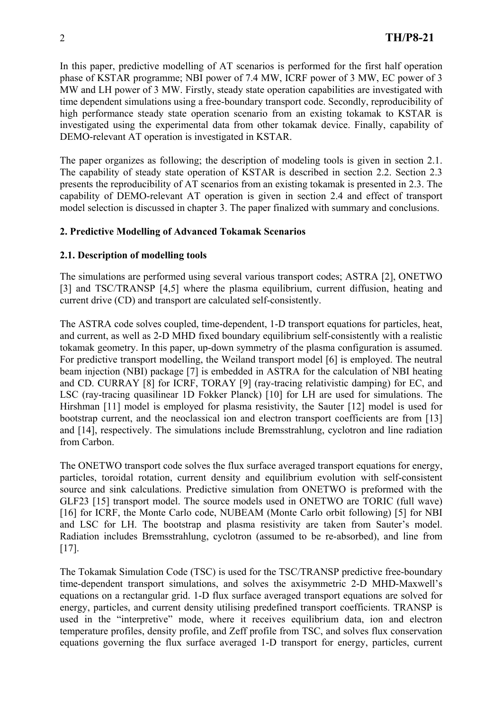In this paper, predictive modelling of AT scenarios is performed for the first half operation phase of KSTAR programme; NBI power of 7.4 MW, ICRF power of 3 MW, EC power of 3 MW and LH power of 3 MW. Firstly, steady state operation capabilities are investigated with time dependent simulations using a free-boundary transport code. Secondly, reproducibility of high performance steady state operation scenario from an existing tokamak to KSTAR is investigated using the experimental data from other tokamak device. Finally, capability of DEMO-relevant AT operation is investigated in KSTAR.

The paper organizes as following; the description of modeling tools is given in section 2.1. The capability of steady state operation of KSTAR is described in section 2.2. Section 2.3 presents the reproducibility of AT scenarios from an existing tokamak is presented in 2.3. The capability of DEMO-relevant AT operation is given in section 2.4 and effect of transport model selection is discussed in chapter 3. The paper finalized with summary and conclusions.

# **2. Predictive Modelling of Advanced Tokamak Scenarios**

## **2.1. Description of modelling tools**

The simulations are performed using several various transport codes; ASTRA [2], ONETWO [3] and TSC/TRANSP [4,5] where the plasma equilibrium, current diffusion, heating and current drive (CD) and transport are calculated self-consistently.

The ASTRA code solves coupled, time-dependent, 1-D transport equations for particles, heat, and current, as well as 2-D MHD fixed boundary equilibrium self-consistently with a realistic tokamak geometry. In this paper, up-down symmetry of the plasma configuration is assumed. For predictive transport modelling, the Weiland transport model [6] is employed. The neutral beam injection (NBI) package [7] is embedded in ASTRA for the calculation of NBI heating and CD. CURRAY [8] for ICRF, TORAY [9] (ray-tracing relativistic damping) for EC, and LSC (ray-tracing quasilinear 1D Fokker Planck) [10] for LH are used for simulations. The Hirshman [11] model is employed for plasma resistivity, the Sauter [12] model is used for bootstrap current, and the neoclassical ion and electron transport coefficients are from [13] and [14], respectively. The simulations include Bremsstrahlung, cyclotron and line radiation from Carbon.

The ONETWO transport code solves the flux surface averaged transport equations for energy, particles, toroidal rotation, current density and equilibrium evolution with self-consistent source and sink calculations. Predictive simulation from ONETWO is preformed with the GLF23 [15] transport model. The source models used in ONETWO are TORIC (full wave) [16] for ICRF, the Monte Carlo code, NUBEAM (Monte Carlo orbit following) [5] for NBI and LSC for LH. The bootstrap and plasma resistivity are taken from Sauter's model. Radiation includes Bremsstrahlung, cyclotron (assumed to be re-absorbed), and line from [17].

The Tokamak Simulation Code (TSC) is used for the TSC/TRANSP predictive free-boundary time-dependent transport simulations, and solves the axisymmetric 2-D MHD-Maxwell's equations on a rectangular grid. 1-D flux surface averaged transport equations are solved for energy, particles, and current density utilising predefined transport coefficients. TRANSP is used in the "interpretive" mode, where it receives equilibrium data, ion and electron temperature profiles, density profile, and Zeff profile from TSC, and solves flux conservation equations governing the flux surface averaged 1-D transport for energy, particles, current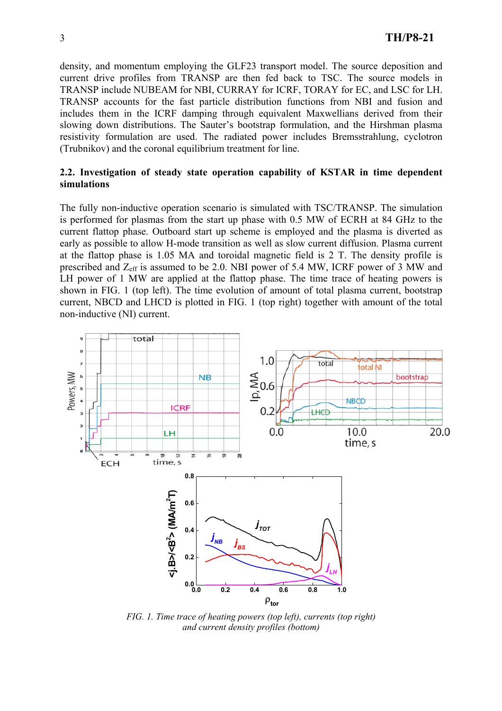density, and momentum employing the GLF23 transport model. The source deposition and current drive profiles from TRANSP are then fed back to TSC. The source models in TRANSP include NUBEAM for NBI, CURRAY for ICRF, TORAY for EC, and LSC for LH. TRANSP accounts for the fast particle distribution functions from NBI and fusion and includes them in the ICRF damping through equivalent Maxwellians derived from their slowing down distributions. The Sauter's bootstrap formulation, and the Hirshman plasma resistivity formulation are used. The radiated power includes Bremsstrahlung, cyclotron (Trubnikov) and the coronal equilibrium treatment for line.

## **2.2. Investigation of steady state operation capability of KSTAR in time dependent simulations**

The fully non-inductive operation scenario is simulated with TSC/TRANSP. The simulation is performed for plasmas from the start up phase with 0.5 MW of ECRH at 84 GHz to the current flattop phase. Outboard start up scheme is employed and the plasma is diverted as early as possible to allow H-mode transition as well as slow current diffusion. Plasma current at the flattop phase is 1.05 MA and toroidal magnetic field is 2 T. The density profile is prescribed and Zeff is assumed to be 2.0. NBI power of 5.4 MW, ICRF power of 3 MW and LH power of 1 MW are applied at the flattop phase. The time trace of heating powers is shown in FIG. 1 (top left). The time evolution of amount of total plasma current, bootstrap current, NBCD and LHCD is plotted in FIG. 1 (top right) together with amount of the total non-inductive (NI) current.



*FIG. 1. Time trace of heating powers (top left), currents (top right) and current density profiles (bottom)*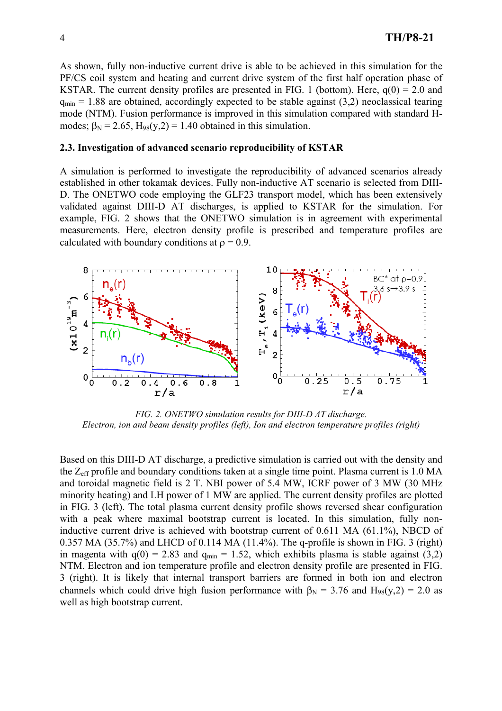As shown, fully non-inductive current drive is able to be achieved in this simulation for the PF/CS coil system and heating and current drive system of the first half operation phase of KSTAR. The current density profiles are presented in FIG. 1 (bottom). Here,  $q(0) = 2.0$  and  $q<sub>min</sub> = 1.88$  are obtained, accordingly expected to be stable against (3,2) neoclassical tearing mode (NTM). Fusion performance is improved in this simulation compared with standard Hmodes;  $\beta_N = 2.65$ ,  $H_{98}(y,2) = 1.40$  obtained in this simulation.

#### **2.3. Investigation of advanced scenario reproducibility of KSTAR**

A simulation is performed to investigate the reproducibility of advanced scenarios already established in other tokamak devices. Fully non-inductive AT scenario is selected from DIII-D. The ONETWO code employing the GLF23 transport model, which has been extensively validated against DIII-D AT discharges, is applied to KSTAR for the simulation. For example, FIG. 2 shows that the ONETWO simulation is in agreement with experimental measurements. Here, electron density profile is prescribed and temperature profiles are calculated with boundary conditions at  $\rho = 0.9$ .



*FIG. 2. ONETWO simulation results for DIII-D AT discharge. Electron, ion and beam density profiles (left), Ion and electron temperature profiles (right)*

Based on this DIII-D AT discharge, a predictive simulation is carried out with the density and the Zeff profile and boundary conditions taken at a single time point. Plasma current is 1.0 MA and toroidal magnetic field is 2 T. NBI power of 5.4 MW, ICRF power of 3 MW (30 MHz minority heating) and LH power of 1 MW are applied. The current density profiles are plotted in FIG. 3 (left). The total plasma current density profile shows reversed shear configuration with a peak where maximal bootstrap current is located. In this simulation, fully noninductive current drive is achieved with bootstrap current of 0.611 MA (61.1%), NBCD of 0.357 MA (35.7%) and LHCD of 0.114 MA (11.4%). The q-profile is shown in FIG. 3 (right) in magenta with  $q(0) = 2.83$  and  $q_{min} = 1.52$ , which exhibits plasma is stable against (3,2) NTM. Electron and ion temperature profile and electron density profile are presented in FIG. 3 (right). It is likely that internal transport barriers are formed in both ion and electron channels which could drive high fusion performance with  $\beta_N = 3.76$  and  $H_{98}(y,2) = 2.0$  as well as high bootstrap current.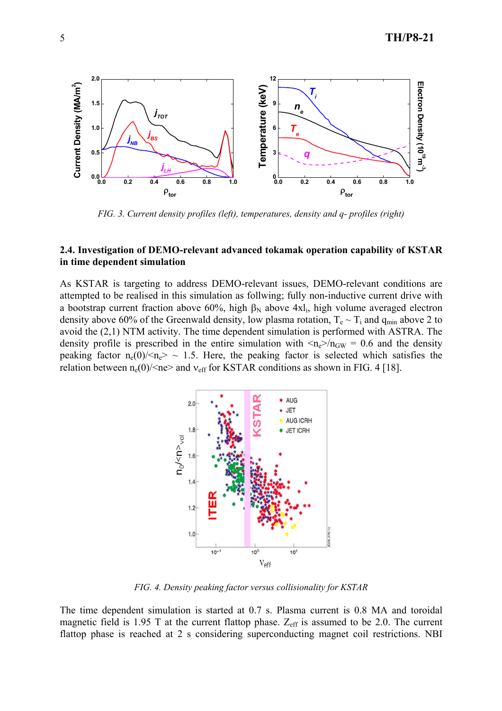

*FIG. 3. Current density profiles (left), temperatures, density and q- profiles (right)*

#### **2.4. Investigation of DEMO-relevant advanced tokamak operation capability of KSTAR in time dependent simulation**

As KSTAR is targeting to address DEMO-relevant issues, DEMO-relevant conditions are attempted to be realised in this simulation as follwing; fully non-inductive current drive with a bootstrap current fraction above 60%, high  $\beta_N$  above 4xl<sub>i</sub>, high volume averaged electron density above 60% of the Greenwald density, low plasma rotation,  $T_e \sim T_i$  and  $q_{min}$  above 2 to avoid the (2,1) NTM activity. The time dependent simulation is performed with ASTRA. The density profile is prescribed in the entire simulation with  $\langle n_e \rangle / n_{GW} = 0.6$  and the density peaking factor  $n_e(0)/n_e$  ~ 1.5. Here, the peaking factor is selected which satisfies the relation between  $n_e(0)/\langle ne \rangle$  and  $v_{eff}$  for KSTAR conditions as shown in FIG. 4 [18].



*FIG. 4. Density peaking factor versus collisionality for KSTAR*

The time dependent simulation is started at 0.7 s. Plasma current is 0.8 MA and toroidal magnetic field is 1.95 T at the current flattop phase.  $Z_{\text{eff}}$  is assumed to be 2.0. The current flattop phase is reached at 2 s considering superconducting magnet coil restrictions. NBI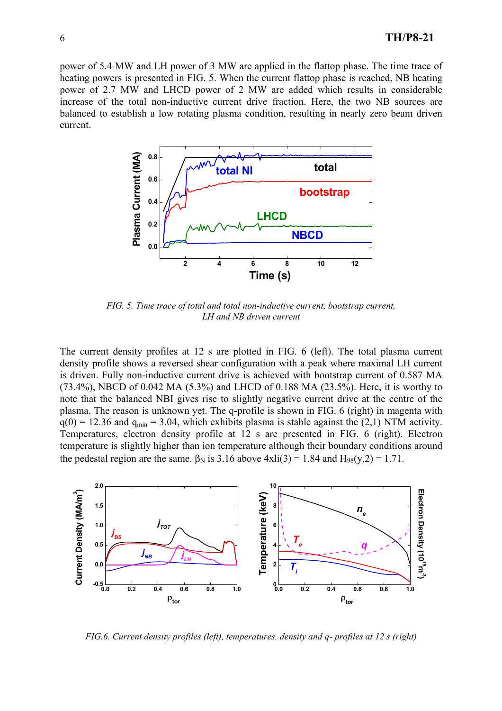power of 5.4 MW and LH power of 3 MW are applied in the flattop phase. The time trace of heating powers is presented in FIG. 5. When the current flattop phase is reached, NB heating power of 2.7 MW and LHCD power of 2 MW are added which results in considerable increase of the total non-inductive current drive fraction. Here, the two NB sources are balanced to establish a low rotating plasma condition, resulting in nearly zero beam driven current.



*FIG. 5. Time trace of total and total non-inductive current, bootstrap current, LH and NB driven current*

The current density profiles at 12 s are plotted in FIG. 6 (left). The total plasma current density profile shows a reversed shear configuration with a peak where maximal LH current is driven. Fully non-inductive current drive is achieved with bootstrap current of 0.587 MA (73.4%), NBCD of 0.042 MA (5.3%) and LHCD of 0.188 MA (23.5%). Here, it is worthy to note that the balanced NBI gives rise to slightly negative current drive at the centre of the plasma. The reason is unknown yet. The q-profile is shown in FIG. 6 (right) in magenta with  $q(0) = 12.36$  and  $q_{min} = 3.04$ , which exhibits plasma is stable against the (2,1) NTM activity. Temperatures, electron density profile at 12 s are presented in FIG. 6 (right). Electron temperature is slightly higher than ion temperature although their boundary conditions around the pedestal region are the same.  $\beta_N$  is 3.16 above  $4xli(3) = 1.84$  and  $H_{98}(y,2) = 1.71$ .



*FIG.6. Current density profiles (left), temperatures, density and q- profiles at 12 s (right)*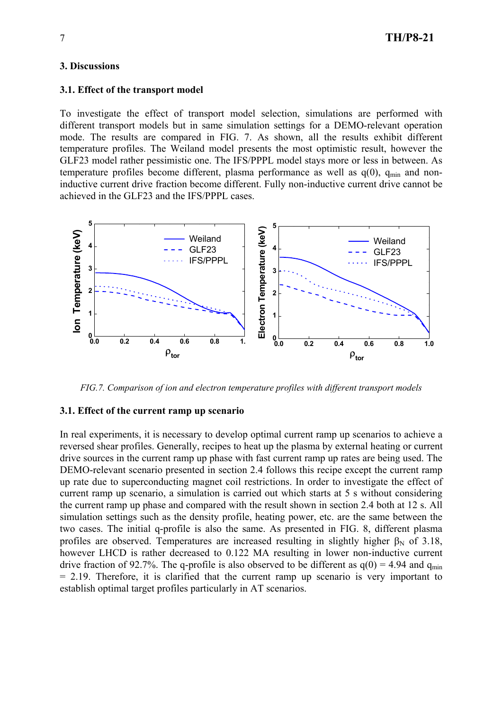### **3. Discussions**

## **3.1. Effect of the transport model**

To investigate the effect of transport model selection, simulations are performed with different transport models but in same simulation settings for a DEMO-relevant operation mode. The results are compared in FIG. 7. As shown, all the results exhibit different temperature profiles. The Weiland model presents the most optimistic result, however the GLF23 model rather pessimistic one. The IFS/PPPL model stays more or less in between. As temperature profiles become different, plasma performance as well as  $q(0)$ ,  $q_{min}$  and noninductive current drive fraction become different. Fully non-inductive current drive cannot be achieved in the GLF23 and the IFS/PPPL cases.



*FIG.7. Comparison of ion and electron temperature profiles with different transport models* 

### **3.1. Effect of the current ramp up scenario**

In real experiments, it is necessary to develop optimal current ramp up scenarios to achieve a reversed shear profiles. Generally, recipes to heat up the plasma by external heating or current drive sources in the current ramp up phase with fast current ramp up rates are being used. The DEMO-relevant scenario presented in section 2.4 follows this recipe except the current ramp up rate due to superconducting magnet coil restrictions. In order to investigate the effect of current ramp up scenario, a simulation is carried out which starts at 5 s without considering the current ramp up phase and compared with the result shown in section 2.4 both at 12 s. All simulation settings such as the density profile, heating power, etc. are the same between the two cases. The initial q-profile is also the same. As presented in FIG. 8, different plasma profiles are observed. Temperatures are increased resulting in slightly higher  $\beta_N$  of 3.18, however LHCD is rather decreased to 0.122 MA resulting in lower non-inductive current drive fraction of 92.7%. The q-profile is also observed to be different as  $q(0) = 4.94$  and  $q_{min}$ = 2.19. Therefore, it is clarified that the current ramp up scenario is very important to establish optimal target profiles particularly in AT scenarios.